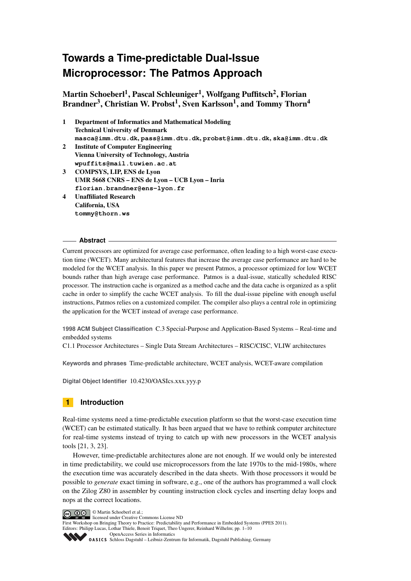Martin Schoeberl<sup>1</sup>, Pascal Schleuniger<sup>1</sup>, Wolfgang Puffitsch<sup>2</sup>, Florian Brandner $^3$ , Christian W. Probst $^1$ , Sven Karlsson $^1$ , and Tommy Thorn $^4$ 

- 1 Department of Informatics and Mathematical Modeling Technical University of Denmark **masca@imm.dtu.dk**, **pass@imm.dtu.dk**, **probst@imm.dtu.dk**, **ska@imm.dtu.dk** 2 Institute of Computer Engineering Vienna University of Technology, Austria **wpuffits@mail.tuwien.ac.at** 3 COMPSYS, LIP, ENS de Lyon UMR 5668 CNRS – ENS de Lyon – UCB Lyon – Inria **florian.brandner@ens-lyon.fr** 4 Unaffiliated Research
- California, USA **tommy@thorn.ws**

## **Abstract**

Current processors are optimized for average case performance, often leading to a high worst-case execution time (WCET). Many architectural features that increase the average case performance are hard to be modeled for the WCET analysis. In this paper we present Patmos, a processor optimized for low WCET bounds rather than high average case performance. Patmos is a dual-issue, statically scheduled RISC processor. The instruction cache is organized as a method cache and the data cache is organized as a split cache in order to simplify the cache WCET analysis. To fill the dual-issue pipeline with enough useful instructions, Patmos relies on a customized compiler. The compiler also plays a central role in optimizing the application for the WCET instead of average case performance.

**1998 ACM Subject Classification** C.3 Special-Purpose and Application-Based Systems – Real-time and embedded systems

C1.1 Processor Architectures – Single Data Stream Architectures – RISC/CISC, VLIW architectures

**Keywords and phrases** Time-predictable architecture, WCET analysis, WCET-aware compilation

**Digital Object Identifier** [10.4230/OASIcs.xxx.yyy.p](http://dx.doi.org/10.4230/OASIcs.xxx.yyy.p)

## **1 Introduction**

Real-time systems need a time-predictable execution platform so that the worst-case execution time (WCET) can be estimated statically. It has been argued that we have to rethink computer architecture for real-time systems instead of trying to catch up with new processors in the WCET analysis tools [\[21,](#page-9-0) [3,](#page-8-0) [23\]](#page-9-1).

However, time-predictable architectures alone are not enough. If we would only be interested in time predictability, we could use microprocessors from the late 1970s to the mid-1980s, where the execution time was accurately described in the data sheets. With those processors it would be possible to *generate* exact timing in software, e.g., one of the authors has programmed a wall clock on the Zilog Z80 in assembler by counting instruction clock cycles and inserting delay loops and nops at the correct locations.

© Martin Schoeberl et al.; licensed under Creative Commons License ND



[OpenAccess Series in Informatics](http://www.dagstuhl.de/oasics/)

OpenAccess Series in Informative [Schloss Dagstuhl – Leibniz-Zentrum für Informatik, Dagstuhl Publishing, Germany](http://www.dagstuhl.de/)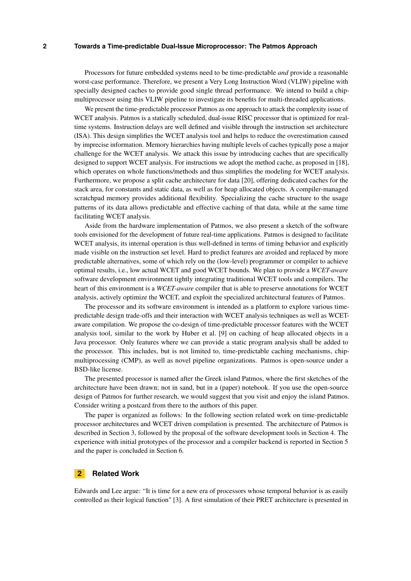Processors for future embedded systems need to be time-predictable *and* provide a reasonable worst-case performance. Therefore, we present a Very Long Instruction Word (VLIW) pipeline with specially designed caches to provide good single thread performance. We intend to build a chipmultiprocessor using this VLIW pipeline to investigate its benefits for multi-threaded applications.

We present the time-predictable processor Patmos as one approach to attack the complexity issue of WCET analysis. Patmos is a statically scheduled, dual-issue RISC processor that is optimized for realtime systems. Instruction delays are well defined and visible through the instruction set architecture (ISA). This design simplifies the WCET analysis tool and helps to reduce the overestimation caused by imprecise information. Memory hierarchies having multiple levels of caches typically pose a major challenge for the WCET analysis. We attack this issue by introducing caches that are specifically designed to support WCET analysis. For instructions we adopt the method cache, as proposed in [\[18\]](#page-9-3), which operates on whole functions/methods and thus simplifies the modeling for WCET analysis. Furthermore, we propose a split cache architecture for data [\[20\]](#page-9-4), offering dedicated caches for the stack area, for constants and static data, as well as for heap allocated objects. A compiler-managed scratchpad memory provides additional flexibility. Specializing the cache structure to the usage patterns of its data allows predictable and effective caching of that data, while at the same time facilitating WCET analysis.

Aside from the hardware implementation of Patmos, we also present a sketch of the software tools envisioned for the development of future real-time applications. Patmos is designed to facilitate WCET analysis, its internal operation is thus well-defined in terms of timing behavior and explicitly made visible on the instruction set level. Hard to predict features are avoided and replaced by more predictable alternatives, some of which rely on the (low-level) programmer or compiler to achieve optimal results, i.e., low actual WCET and good WCET bounds. We plan to provide a *WCET-aware* software development environment tightly integrating traditional WCET tools and compilers. The heart of this environment is a *WCET-aware* compiler that is able to preserve annotations for WCET analysis, actively optimize the WCET, and exploit the specialized architectural features of Patmos.

The processor and its software environment is intended as a platform to explore various timepredictable design trade-offs and their interaction with WCET analysis techniques as well as WCETaware compilation. We propose the co-design of time-predictable processor features with the WCET analysis tool, similar to the work by Huber et al. [\[9\]](#page-8-1) on caching of heap allocated objects in a Java processor. Only features where we can provide a static program analysis shall be added to the processor. This includes, but is not limited to, time-predictable caching mechanisms, chipmultiprocessing (CMP), as well as novel pipeline organizations. Patmos is open-source under a BSD-like license.

The presented processor is named after the Greek island Patmos, where the first sketches of the architecture have been drawn; not in sand, but in a (paper) notebook. If you use the open-source design of Patmos for further research, we would suggest that you visit and enjoy the island Patmos. Consider writing a postcard from there to the authors of this paper.

The paper is organized as follows: In the following section related work on time-predictable processor architectures and WCET driven compilation is presented. The architecture of Patmos is described in Section [3,](#page-3-0) followed by the proposal of the software development tools in Section [4.](#page-5-0) The experience with initial prototypes of the processor and a compiler backend is reported in Section [5](#page-7-0) and the paper is concluded in Section [6.](#page-8-2)

## **2 Related Work**

Edwards and Lee argue: "It is time for a new era of processors whose temporal behavior is as easily controlled as their logical function" [\[3\]](#page-8-0). A first simulation of their PRET architecture is presented in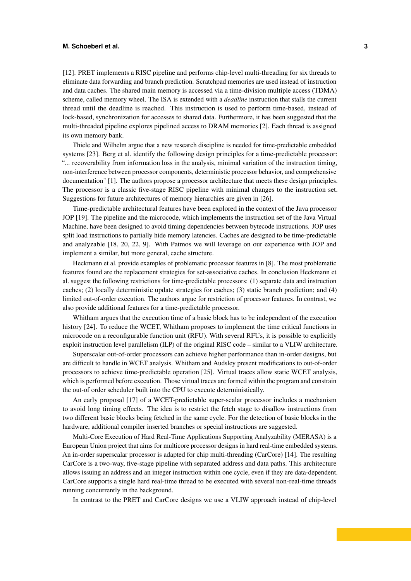#### **M. Schoeberl et al. 3**

[\[12\]](#page-9-5). PRET implements a RISC pipeline and performs chip-level multi-threading for six threads to eliminate data forwarding and branch prediction. Scratchpad memories are used instead of instruction and data caches. The shared main memory is accessed via a time-division multiple access (TDMA) scheme, called memory wheel. The ISA is extended with a *deadline* instruction that stalls the current thread until the deadline is reached. This instruction is used to perform time-based, instead of lock-based, synchronization for accesses to shared data. Furthermore, it has been suggested that the multi-threaded pipeline explores pipelined access to DRAM memories [\[2\]](#page-8-3). Each thread is assigned its own memory bank.

Thiele and Wilhelm argue that a new research discipline is needed for time-predictable embedded systems [\[23\]](#page-9-1). Berg et al. identify the following design principles for a time-predictable processor: "... recoverability from information loss in the analysis, minimal variation of the instruction timing, non-interference between processor components, deterministic processor behavior, and comprehensive documentation" [\[1\]](#page-8-4). The authors propose a processor architecture that meets these design principles. The processor is a classic five-stage RISC pipeline with minimal changes to the instruction set. Suggestions for future architectures of memory hierarchies are given in [\[26\]](#page-9-6).

Time-predictable architectural features have been explored in the context of the Java processor JOP [\[19\]](#page-9-7). The pipeline and the microcode, which implements the instruction set of the Java Virtual Machine, have been designed to avoid timing dependencies between bytecode instructions. JOP uses split load instructions to partially hide memory latencies. Caches are designed to be time-predictable and analyzable [\[18,](#page-9-3) [20,](#page-9-4) [22,](#page-9-8) [9\]](#page-8-1). With Patmos we will leverage on our experience with JOP and implement a similar, but more general, cache structure.

Heckmann et al. provide examples of problematic processor features in [\[8\]](#page-8-5). The most problematic features found are the replacement strategies for set-associative caches. In conclusion Heckmann et al. suggest the following restrictions for time-predictable processors: (1) separate data and instruction caches; (2) locally deterministic update strategies for caches; (3) static branch prediction; and (4) limited out-of-order execution. The authors argue for restriction of processor features. In contrast, we also provide additional features for a time-predictable processor.

Whitham argues that the execution time of a basic block has to be independent of the execution history [\[24\]](#page-9-9). To reduce the WCET, Whitham proposes to implement the time critical functions in microcode on a reconfigurable function unit (RFU). With several RFUs, it is possible to explicitly exploit instruction level parallelism (ILP) of the original RISC code – similar to a VLIW architecture.

Superscalar out-of-order processors can achieve higher performance than in-order designs, but are difficult to handle in WCET analysis. Whitham and Audsley present modifications to out-of-order processors to achieve time-predictable operation [\[25\]](#page-9-10). Virtual traces allow static WCET analysis, which is performed before execution. Those virtual traces are formed within the program and constrain the out-of order scheduler built into the CPU to execute deterministically.

An early proposal [\[17\]](#page-9-11) of a WCET-predictable super-scalar processor includes a mechanism to avoid long timing effects. The idea is to restrict the fetch stage to disallow instructions from two different basic blocks being fetched in the same cycle. For the detection of basic blocks in the hardware, additional compiler inserted branches or special instructions are suggested.

Multi-Core Execution of Hard Real-Time Applications Supporting Analyzability (MERASA) is a European Union project that aims for multicore processor designs in hard real-time embedded systems. An in-order superscalar processor is adapted for chip multi-threading (CarCore) [\[14\]](#page-9-12). The resulting CarCore is a two-way, five-stage pipeline with separated address and data paths. This architecture allows issuing an address and an integer instruction within one cycle, even if they are data-dependent. CarCore supports a single hard real-time thread to be executed with several non-real-time threads running concurrently in the background.

In contrast to the PRET and CarCore designs we use a VLIW approach instead of chip-level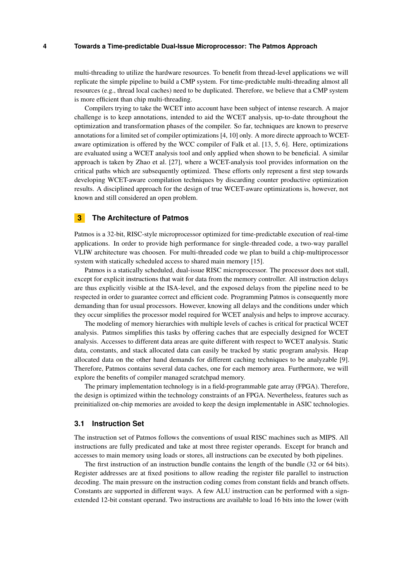multi-threading to utilize the hardware resources. To benefit from thread-level applications we will replicate the simple pipeline to build a CMP system. For time-predictable multi-threading almost all resources (e.g., thread local caches) need to be duplicated. Therefore, we believe that a CMP system is more efficient than chip multi-threading.

Compilers trying to take the WCET into account have been subject of intense research. A major challenge is to keep annotations, intended to aid the WCET analysis, up-to-date throughout the optimization and transformation phases of the compiler. So far, techniques are known to preserve annotations for a limited set of compiler optimizations [\[4,](#page-8-6) [10\]](#page-8-7) only. A more directe approach to WCETaware optimization is offered by the WCC compiler of Falk et al. [\[13,](#page-9-13) [5,](#page-8-8) [6\]](#page-8-9). Here, optimizations are evaluated using a WCET analysis tool and only applied when shown to be beneficial. A similar approach is taken by Zhao et al. [\[27\]](#page-9-14), where a WCET-analysis tool provides information on the critical paths which are subsequently optimized. These efforts only represent a first step towards developing WCET-aware compilation techniques by discarding counter productive optimization results. A disciplined approach for the design of true WCET-aware optimizations is, however, not known and still considered an open problem.

#### <span id="page-3-0"></span>**3 The Architecture of Patmos**

Patmos is a 32-bit, RISC-style microprocessor optimized for time-predictable execution of real-time applications. In order to provide high performance for single-threaded code, a two-way parallel VLIW architecture was choosen. For multi-threaded code we plan to build a chip-multiprocessor system with statically scheduled access to shared main memory [\[15\]](#page-9-15).

Patmos is a statically scheduled, dual-issue RISC microprocessor. The processor does not stall, except for explicit instructions that wait for data from the memory controller. All instruction delays are thus explicitly visible at the ISA-level, and the exposed delays from the pipeline need to be respected in order to guarantee correct and efficient code. Programming Patmos is consequently more demanding than for usual processors. However, knowing all delays and the conditions under which they occur simplifies the processor model required for WCET analysis and helps to improve accuracy.

The modeling of memory hierarchies with multiple levels of caches is critical for practical WCET analysis. Patmos simplifies this tasks by offering caches that are especially designed for WCET analysis. Accesses to different data areas are quite different with respect to WCET analysis. Static data, constants, and stack allocated data can easily be tracked by static program analysis. Heap allocated data on the other hand demands for different caching techniques to be analyzable [\[9\]](#page-8-1). Therefore, Patmos contains several data caches, one for each memory area. Furthermore, we will explore the benefits of compiler managed scratchpad memory.

The primary implementation technology is in a field-programmable gate array (FPGA). Therefore, the design is optimized within the technology constraints of an FPGA. Nevertheless, features such as preinitialized on-chip memories are avoided to keep the design implementable in ASIC technologies.

#### **3.1 Instruction Set**

The instruction set of Patmos follows the conventions of usual RISC machines such as MIPS. All instructions are fully predicated and take at most three register operands. Except for branch and accesses to main memory using loads or stores, all instructions can be executed by both pipelines.

The first instruction of an instruction bundle contains the length of the bundle (32 or 64 bits). Register addresses are at fixed positions to allow reading the register file parallel to instruction decoding. The main pressure on the instruction coding comes from constant fields and branch offsets. Constants are supported in different ways. A few ALU instruction can be performed with a signextended 12-bit constant operand. Two instructions are available to load 16 bits into the lower (with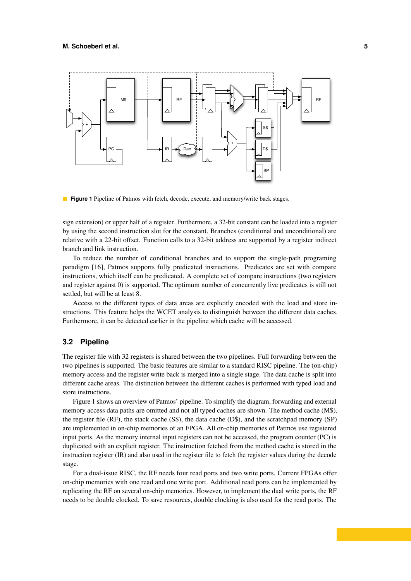<span id="page-4-0"></span>

**Figure 1** Pipeline of Patmos with fetch, decode, execute, and memory/write back stages.

sign extension) or upper half of a register. Furthermore, a 32-bit constant can be loaded into a register by using the second instruction slot for the constant. Branches (conditional and unconditional) are relative with a 22-bit offset. Function calls to a 32-bit address are supported by a register indirect branch and link instruction.

To reduce the number of conditional branches and to support the single-path programing paradigm [\[16\]](#page-9-16), Patmos supports fully predicated instructions. Predicates are set with compare instructions, which itself can be predicated. A complete set of compare instructions (two registers and register against 0) is supported. The optimum number of concurrently live predicates is still not settled, but will be at least 8.

Access to the different types of data areas are explicitly encoded with the load and store instructions. This feature helps the WCET analysis to distinguish between the different data caches. Furthermore, it can be detected earlier in the pipeline which cache will be accessed.

#### **3.2 Pipeline**

The register file with 32 registers is shared between the two pipelines. Full forwarding between the two pipelines is supported. The basic features are similar to a standard RISC pipeline. The (on-chip) memory access and the register write back is merged into a single stage. The data cache is split into different cache areas. The distinction between the different caches is performed with typed load and store instructions.

Figure [1](#page-4-0) shows an overview of Patmos' pipeline. To simplify the diagram, forwarding and external memory access data paths are omitted and not all typed caches are shown. The method cache (M\$), the register file (RF), the stack cache (S\$), the data cache (D\$), and the scratchpad memory (SP) are implemented in on-chip memories of an FPGA. All on-chip memories of Patmos use registered input ports. As the memory internal input registers can not be accessed, the program counter (PC) is duplicated with an explicit register. The instruction fetched from the method cache is stored in the instruction register (IR) and also used in the register file to fetch the register values during the decode stage.

For a dual-issue RISC, the RF needs four read ports and two write ports. Current FPGAs offer on-chip memories with one read and one write port. Additional read ports can be implemented by replicating the RF on several on-chip memories. However, to implement the dual write ports, the RF needs to be double clocked. To save resources, double clocking is also used for the read ports. The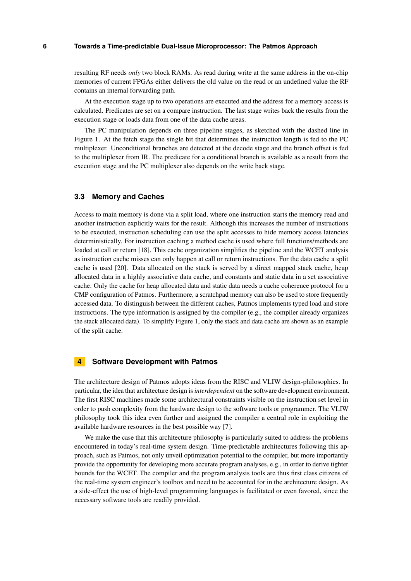resulting RF needs *only* two block RAMs. As read during write at the same address in the on-chip memories of current FPGAs either delivers the old value on the read or an undefined value the RF contains an internal forwarding path.

At the execution stage up to two operations are executed and the address for a memory access is calculated. Predicates are set on a compare instruction. The last stage writes back the results from the execution stage or loads data from one of the data cache areas.

The PC manipulation depends on three pipeline stages, as sketched with the dashed line in Figure [1.](#page-4-0) At the fetch stage the single bit that determines the instruction length is fed to the PC multiplexer. Unconditional branches are detected at the decode stage and the branch offset is fed to the multiplexer from IR. The predicate for a conditional branch is available as a result from the execution stage and the PC multiplexer also depends on the write back stage.

## **3.3 Memory and Caches**

Access to main memory is done via a split load, where one instruction starts the memory read and another instruction explicitly waits for the result. Although this increases the number of instructions to be executed, instruction scheduling can use the split accesses to hide memory access latencies deterministically. For instruction caching a method cache is used where full functions/methods are loaded at call or return [\[18\]](#page-9-3). This cache organization simplifies the pipeline and the WCET analysis as instruction cache misses can only happen at call or return instructions. For the data cache a split cache is used [\[20\]](#page-9-4). Data allocated on the stack is served by a direct mapped stack cache, heap allocated data in a highly associative data cache, and constants and static data in a set associative cache. Only the cache for heap allocated data and static data needs a cache coherence protocol for a CMP configuration of Patmos. Furthermore, a scratchpad memory can also be used to store frequently accessed data. To distinguish between the different caches, Patmos implements typed load and store instructions. The type information is assigned by the compiler  $(e.g., the compiler already organizes)$ the stack allocated data). To simplify Figure [1,](#page-4-0) only the stack and data cache are shown as an example of the split cache.

## <span id="page-5-0"></span>**4 Software Development with Patmos**

The architecture design of Patmos adopts ideas from the RISC and VLIW design-philosophies. In particular, the idea that architecture design is *interdependent* on the software development environment. The first RISC machines made some architectural constraints visible on the instruction set level in order to push complexity from the hardware design to the software tools or programmer. The VLIW philosophy took this idea even further and assigned the compiler a central role in exploiting the available hardware resources in the best possible way [\[7\]](#page-8-10).

We make the case that this architecture philosophy is particularly suited to address the problems encountered in today's real-time system design. Time-predictable architectures following this approach, such as Patmos, not only unveil optimization potential to the compiler, but more importantly provide the opportunity for developing more accurate program analyses, e.g., in order to derive tighter bounds for the WCET. The compiler and the program analysis tools are thus first class citizens of the real-time system engineer's toolbox and need to be accounted for in the architecture design. As a side-effect the use of high-level programming languages is facilitated or even favored, since the necessary software tools are readily provided.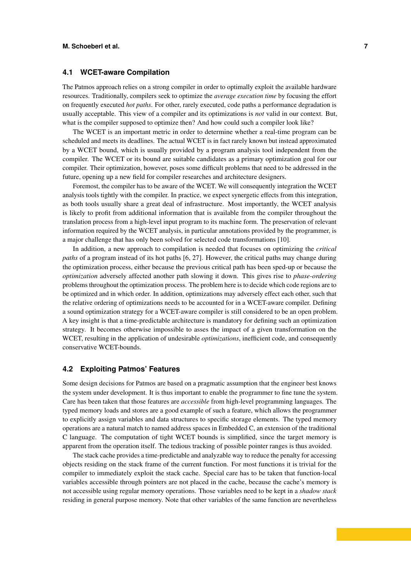## **4.1 WCET-aware Compilation**

The Patmos approach relies on a strong compiler in order to optimally exploit the available hardware resources. Traditionally, compilers seek to optimize the *average execution time* by focusing the effort on frequently executed *hot paths*. For other, rarely executed, code paths a performance degradation is usually acceptable. This view of a compiler and its optimizations is *not* valid in our context. But, what is the compiler supposed to optimize then? And how could such a compiler look like?

The WCET is an important metric in order to determine whether a real-time program can be scheduled and meets its deadlines. The actual WCET is in fact rarely known but instead approximated by a WCET bound, which is usually provided by a program analysis tool independent from the compiler. The WCET or its bound are suitable candidates as a primary optimization goal for our compiler. Their optimization, however, poses some difficult problems that need to be addressed in the future, opening up a new field for compiler researches and architecture designers.

Foremost, the compiler has to be aware of the WCET. We will consequently integration the WCET analysis tools tightly with the compiler. In practice, we expect synergetic effects from this integration, as both tools usually share a great deal of infrastructure. Most importantly, the WCET analysis is likely to profit from additional information that is available from the compiler throughout the translation process from a high-level input program to its machine form. The preservation of relevant information required by the WCET analysis, in particular annotations provided by the programmer, is a major challenge that has only been solved for selected code transformations [\[10\]](#page-8-7).

In addition, a new approach to compilation is needed that focuses on optimizing the *critical paths* of a program instead of its hot paths [\[6,](#page-8-9) [27\]](#page-9-14). However, the critical paths may change during the optimization process, either because the previous critical path has been sped-up or because the *optimization* adversely affected another path slowing it down. This gives rise to *phase-ordering* problems throughout the optimization process. The problem here is to decide which code regions are to be optimized and in which order. In addition, optimizations may adversely effect each other, such that the relative ordering of optimizations needs to be accounted for in a WCET-aware compiler. Defining a sound optimization strategy for a WCET-aware compiler is still considered to be an open problem. A key insight is that a time-predictable architecture is mandatory for defining such an optimization strategy. It becomes otherwise impossible to asses the impact of a given transformation on the WCET, resulting in the application of undesirable *optimizations*, inefficient code, and consequently conservative WCET-bounds.

## **4.2 Exploiting Patmos' Features**

Some design decisions for Patmos are based on a pragmatic assumption that the engineer best knows the system under development. It is thus important to enable the programmer to fine tune the system. Care has been taken that those features are *accessible* from high-level programming languages. The typed memory loads and stores are a good example of such a feature, which allows the programmer to explicitly assign variables and data structures to specific storage elements. The typed memory operations are a natural match to named address spaces in Embedded C, an extension of the traditional C language. The computation of tight WCET bounds is simplified, since the target memory is apparent from the operation itself. The tedious tracking of possible pointer ranges is thus avoided.

The stack cache provides a time-predictable and analyzable way to reduce the penalty for accessing objects residing on the stack frame of the current function. For most functions it is trivial for the compiler to immediately exploit the stack cache. Special care has to be taken that function-local variables accessible through pointers are not placed in the cache, because the cache's memory is not accessible using regular memory operations. Those variables need to be kept in a *shadow stack* residing in general purpose memory. Note that other variables of the same function are nevertheless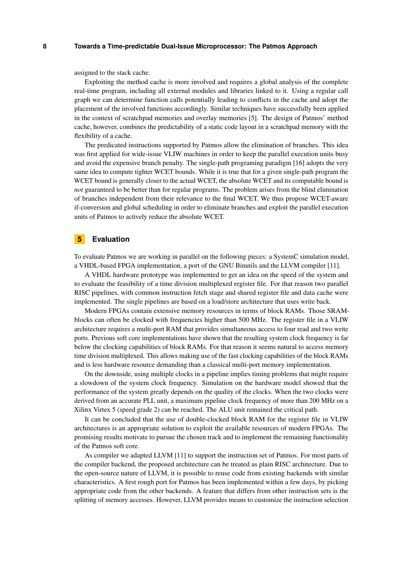assigned to the stack cache.

Exploiting the method cache is more involved and requires a global analysis of the complete real-time program, including all external modules and libraries linked to it. Using a regular call graph we can determine function calls potentially leading to conflicts in the cache and adopt the placement of the involved functions accordingly. Similar techniques have successfully been applied in the context of scratchpad memories and overlay memories [\[5\]](#page-8-8). The design of Patmos' method cache, however, combines the predictability of a static code layout in a scratchpad memory with the flexibility of a cache.

The predicated instructions supported by Patmos allow the elimination of branches. This idea was first applied for wide-issue VLIW machines in order to keep the parallel execution units busy and avoid the expensive branch penalty. The single-path programing paradigm [\[16\]](#page-9-16) adopts the very same idea to compute tighter WCET bounds. While it is true that for a given single-path program the WCET bound is generally closer to the actual WCET, the absolute WCET and its computable bound is *not* guaranteed to be better than for regular programs. The problem arises from the blind elimination of branches independent from their relevance to the final WCET. We thus propose WCET-aware if-conversion and global scheduling in order to eliminate branches and exploit the parallel execution units of Patmos to actively reduce the absolute WCET.

## <span id="page-7-0"></span>**5 Evaluation**

To evaluate Patmos we are working in parallel on the following pieces: a SystemC simulation model, a VHDL-based FPGA implementation, a port of the GNU Binutils and the LLVM compiler [\[11\]](#page-8-11).

A VHDL hardware prototype was implemented to get an idea on the speed of the system and to evaluate the feasibility of a time division multiplexed register file. For that reason two parallel RISC pipelines, with common instruction fetch stage and shared register file and data cache were implemented. The single pipelines are based on a load/store architecture that uses write back.

Modern FPGAs contain extensive memory resources in terms of block RAMs. Those SRAMblocks can often be clocked with frequencies higher than 500 MHz. The register file in a VLIW architecture requires a multi-port RAM that provides simultaneous access to four read and two write ports. Previous soft core implementations have shown that the resulting system clock frequency is far below the clocking capabilities of block RAMs. For that reason it seems natural to access memory time division multiplexed. This allows making use of the fast clocking capabilities of the block RAMs and is less hardware resource demanding than a classical multi-port memory implementation.

On the downside, using multiple clocks in a pipeline implies timing problems that might require a slowdown of the system clock frequency. Simulation on the hardware model showed that the performance of the system greatly depends on the quality of the clocks. When the two clocks were derived from an accurate PLL unit, a maximum pipeline clock frequency of more than 200 MHz on a Xilinx Virtex 5 (speed grade 2) can be reached. The ALU unit remained the critical path.

It can be concluded that the use of double-clocked block RAM for the register file in VLIW architectures is an appropriate solution to exploit the available resources of modern FPGAs. The promising results motivate to pursue the chosen track and to implement the remaining functionality of the Patmos soft core.

As compiler we adapted LLVM [\[11\]](#page-8-11) to support the instruction set of Patmos. For most parts of the compiler backend, the proposed architecture can be treated as plain RISC architecture. Due to the open-source nature of LLVM, it is possible to reuse code from existing backends with similar characteristics. A first rough port for Patmos has been implemented within a few days, by picking appropriate code from the other backends. A feature that differs from other instruction sets is the splitting of memory accesses. However, LLVM provides means to customize the instruction selection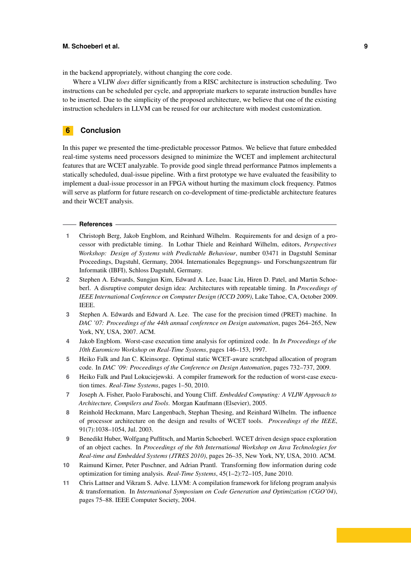#### **M. Schoeberl et al. 9**

in the backend appropriately, without changing the core code.

Where a VLIW *does* differ significantly from a RISC architecture is instruction scheduling. Two instructions can be scheduled per cycle, and appropriate markers to separate instruction bundles have to be inserted. Due to the simplicity of the proposed architecture, we believe that one of the existing instruction schedulers in LLVM can be reused for our architecture with modest customization.

## <span id="page-8-2"></span>**6 Conclusion**

In this paper we presented the time-predictable processor Patmos. We believe that future embedded real-time systems need processors designed to minimize the WCET and implement architectural features that are WCET analyzable. To provide good single thread performance Patmos implements a statically scheduled, dual-issue pipeline. With a first prototype we have evaluated the feasibility to implement a dual-issue processor in an FPGA without hurting the maximum clock frequency. Patmos will serve as platform for future research on co-development of time-predictable architecture features and their WCET analysis.

#### **References**

- <span id="page-8-4"></span>**1** Christoph Berg, Jakob Engblom, and Reinhard Wilhelm. Requirements for and design of a processor with predictable timing. In Lothar Thiele and Reinhard Wilhelm, editors, *Perspectives Workshop: Design of Systems with Predictable Behaviour*, number 03471 in Dagstuhl Seminar Proceedings, Dagstuhl, Germany, 2004. Internationales Begegnungs- und Forschungszentrum für Informatik (IBFI), Schloss Dagstuhl, Germany.
- <span id="page-8-3"></span>**2** Stephen A. Edwards, Sungjun Kim, Edward A. Lee, Isaac Liu, Hiren D. Patel, and Martin Schoeberl. A disruptive computer design idea: Architectures with repeatable timing. In *Proceedings of IEEE International Conference on Computer Design (ICCD 2009)*, Lake Tahoe, CA, October 2009. IEEE.
- <span id="page-8-0"></span>**3** Stephen A. Edwards and Edward A. Lee. The case for the precision timed (PRET) machine. In *DAC '07: Proceedings of the 44th annual conference on Design automation*, pages 264–265, New York, NY, USA, 2007. ACM.
- <span id="page-8-6"></span>**4** Jakob Engblom. Worst-case execution time analysis for optimized code. In *In Proceedings of the 10th Euromicro Workshop on Real-Time Systems*, pages 146–153, 1997.
- <span id="page-8-8"></span>**5** Heiko Falk and Jan C. Kleinsorge. Optimal static WCET-aware scratchpad allocation of program code. In *DAC '09: Proceedings of the Conference on Design Automation*, pages 732–737, 2009.
- <span id="page-8-9"></span>**6** Heiko Falk and Paul Lokuciejewski. A compiler framework for the reduction of worst-case execution times. *Real-Time Systems*, pages 1–50, 2010.
- <span id="page-8-10"></span>**7** Joseph A. Fisher, Paolo Faraboschi, and Young Cliff. *Embedded Computing: A VLIW Approach to Architecture, Compilers and Tools*. Morgan Kaufmann (Elsevier), 2005.
- <span id="page-8-5"></span>**8** Reinhold Heckmann, Marc Langenbach, Stephan Thesing, and Reinhard Wilhelm. The influence of processor architecture on the design and results of WCET tools. *Proceedings of the IEEE*, 91(7):1038–1054, Jul. 2003.
- <span id="page-8-1"></span>**9** Benedikt Huber, Wolfgang Puffitsch, and Martin Schoeberl. WCET driven design space exploration of an object caches. In *Proceedings of the 8th International Workshop on Java Technologies for Real-time and Embedded Systems (JTRES 2010)*, pages 26–35, New York, NY, USA, 2010. ACM.
- <span id="page-8-7"></span>**10** Raimund Kirner, Peter Puschner, and Adrian Prantl. Transforming flow information during code optimization for timing analysis. *Real-Time Systems*, 45(1–2):72–105, June 2010.
- <span id="page-8-11"></span>**11** Chris Lattner and Vikram S. Adve. LLVM: A compilation framework for lifelong program analysis & transformation. In *International Symposium on Code Generation and Optimization (CGO'04)*, pages 75–88. IEEE Computer Society, 2004.